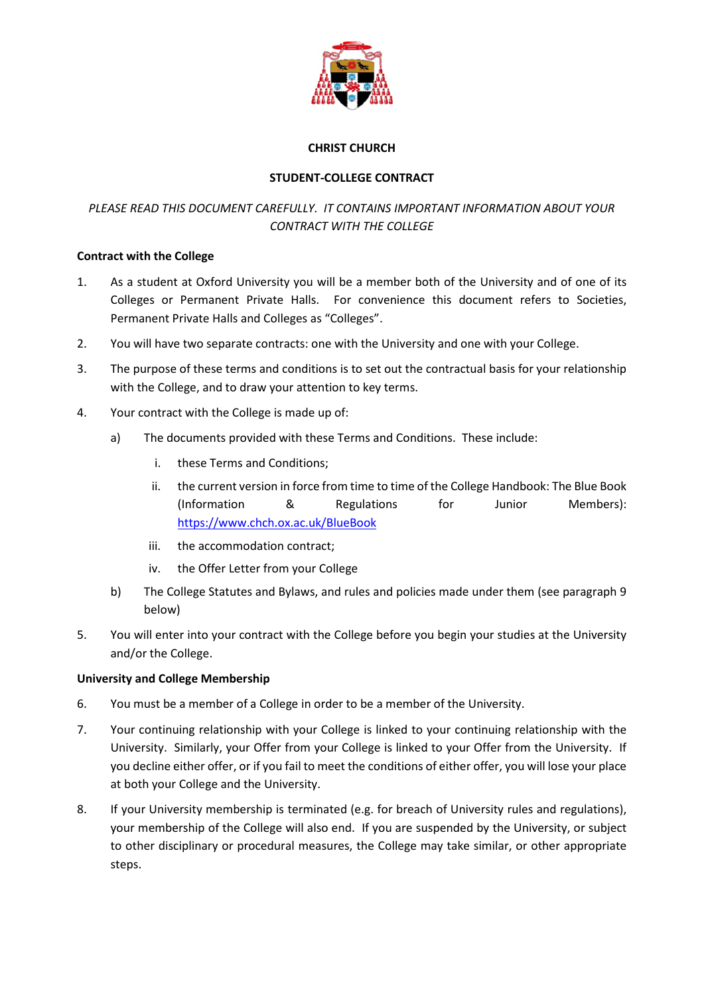

## **CHRIST CHURCH**

# **STUDENT-COLLEGE CONTRACT**

# *PLEASE READ THIS DOCUMENT CAREFULLY. IT CONTAINS IMPORTANT INFORMATION ABOUT YOUR CONTRACT WITH THE COLLEGE*

## **Contract with the College**

- 1. As a student at Oxford University you will be a member both of the University and of one of its Colleges or Permanent Private Halls. For convenience this document refers to Societies, Permanent Private Halls and Colleges as "Colleges".
- 2. You will have two separate contracts: one with the University and one with your College.
- 3. The purpose of these terms and conditions is to set out the contractual basis for your relationship with the College, and to draw your attention to key terms.
- 4. Your contract with the College is made up of:
	- a) The documents provided with these Terms and Conditions. These include:
		- i. these Terms and Conditions;
		- ii. the current version in force from time to time of the College Handbook: The Blue Book (Information & Regulations for Junior Members): https://www.chch.ox.ac.uk/BlueBook
		- iii. the accommodation contract;
		- iv. the Offer Letter from your College
	- b) The College Statutes and Bylaws, and rules and policies made under them (see paragraph 9 below)
- 5. You will enter into your contract with the College before you begin your studies at the University and/or the College.

# **University and College Membership**

- 6. You must be a member of a College in order to be a member of the University.
- 7. Your continuing relationship with your College is linked to your continuing relationship with the University. Similarly, your Offer from your College is linked to your Offer from the University. If you decline either offer, or if you fail to meet the conditions of either offer, you will lose your place at both your College and the University.
- 8. If your University membership is terminated (e.g. for breach of University rules and regulations), your membership of the College will also end. If you are suspended by the University, or subject to other disciplinary or procedural measures, the College may take similar, or other appropriate steps.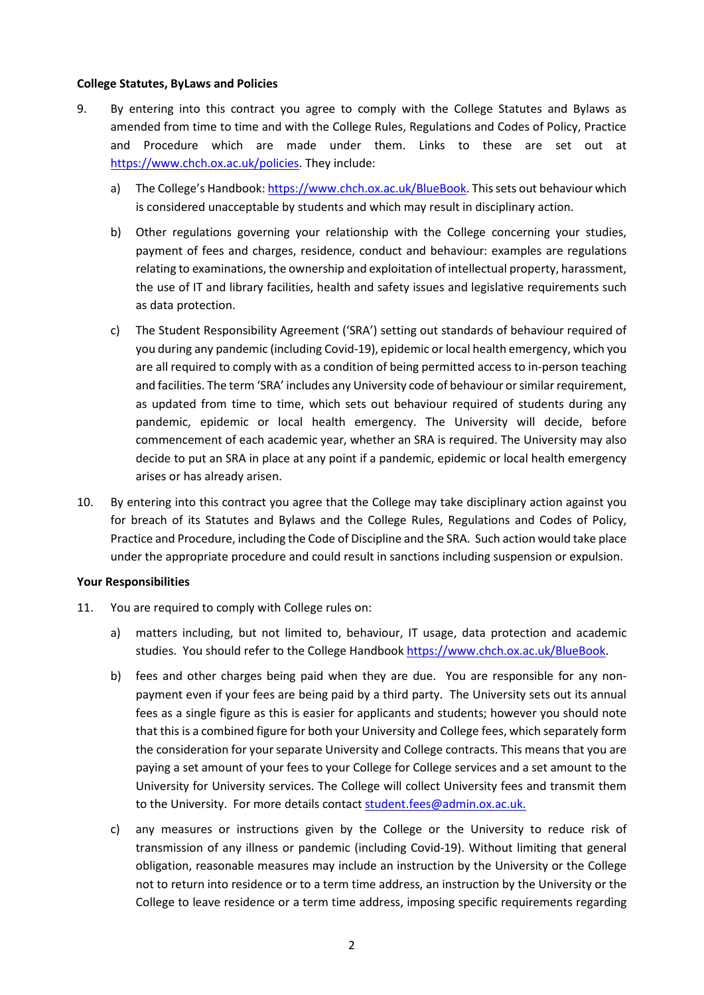#### **College Statutes, ByLaws and Policies**

- 9. By entering into this contract you agree to comply with the College Statutes and Bylaws as amended from time to time and with the College Rules, Regulations and Codes of Policy, Practice and Procedure which are made under them. Links to these are set out at https://www.chch.ox.ac.uk/policies. They include:
	- a) The College's Handbook: https://www.chch.ox.ac.uk/BlueBook. This sets out behaviour which is considered unacceptable by students and which may result in disciplinary action.
	- b) Other regulations governing your relationship with the College concerning your studies, payment of fees and charges, residence, conduct and behaviour: examples are regulations relating to examinations, the ownership and exploitation of intellectual property, harassment, the use of IT and library facilities, health and safety issues and legislative requirements such as data protection.
	- c) The Student Responsibility Agreement ('SRA') setting out standards of behaviour required of you during any pandemic (including Covid-19), epidemic or local health emergency, which you are all required to comply with as a condition of being permitted access to in-person teaching and facilities. The term 'SRA' includes any University code of behaviour or similar requirement, as updated from time to time, which sets out behaviour required of students during any pandemic, epidemic or local health emergency. The University will decide, before commencement of each academic year, whether an SRA is required. The University may also decide to put an SRA in place at any point if a pandemic, epidemic or local health emergency arises or has already arisen.
- 10. By entering into this contract you agree that the College may take disciplinary action against you for breach of its Statutes and Bylaws and the College Rules, Regulations and Codes of Policy, Practice and Procedure, including the Code of Discipline and the SRA. Such action would take place under the appropriate procedure and could result in sanctions including suspension or expulsion.

#### **Your Responsibilities**

- 11. You are required to comply with College rules on:
	- a) matters including, but not limited to, behaviour, IT usage, data protection and academic studies. You should refer to the College Handbook https://www.chch.ox.ac.uk/BlueBook.
	- b) fees and other charges being paid when they are due. You are responsible for any nonpayment even if your fees are being paid by a third party. The University sets out its annual fees as a single figure as this is easier for applicants and students; however you should note that this is a combined figure for both your University and College fees, which separately form the consideration for your separate University and College contracts. This means that you are paying a set amount of your fees to your College for College services and a set amount to the University for University services. The College will collect University fees and transmit them to the University. For more details contact student.fees@admin.ox.ac.uk.
	- c) any measures or instructions given by the College or the University to reduce risk of transmission of any illness or pandemic (including Covid-19). Without limiting that general obligation, reasonable measures may include an instruction by the University or the College not to return into residence or to a term time address, an instruction by the University or the College to leave residence or a term time address, imposing specific requirements regarding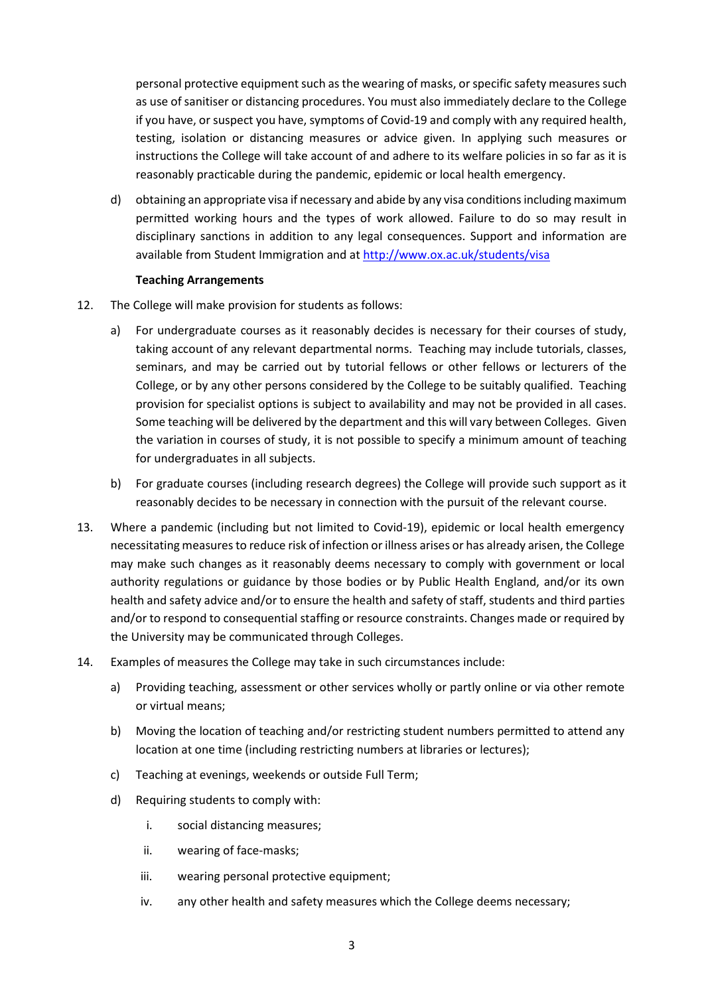personal protective equipment such as the wearing of masks, or specific safety measures such as use of sanitiser or distancing procedures. You must also immediately declare to the College if you have, or suspect you have, symptoms of Covid-19 and comply with any required health, testing, isolation or distancing measures or advice given. In applying such measures or instructions the College will take account of and adhere to its welfare policies in so far as it is reasonably practicable during the pandemic, epidemic or local health emergency.

d) obtaining an appropriate visa if necessary and abide by any visa conditions including maximum permitted working hours and the types of work allowed. Failure to do so may result in disciplinary sanctions in addition to any legal consequences. Support and information are available from Student Immigration and at http://www.ox.ac.uk/students/visa

#### **Teaching Arrangements**

- 12. The College will make provision for students as follows:
	- a) For undergraduate courses as it reasonably decides is necessary for their courses of study, taking account of any relevant departmental norms. Teaching may include tutorials, classes, seminars, and may be carried out by tutorial fellows or other fellows or lecturers of the College, or by any other persons considered by the College to be suitably qualified. Teaching provision for specialist options is subject to availability and may not be provided in all cases. Some teaching will be delivered by the department and this will vary between Colleges. Given the variation in courses of study, it is not possible to specify a minimum amount of teaching for undergraduates in all subjects.
	- b) For graduate courses (including research degrees) the College will provide such support as it reasonably decides to be necessary in connection with the pursuit of the relevant course.
- 13. Where a pandemic (including but not limited to Covid-19), epidemic or local health emergency necessitating measures to reduce risk of infection or illness arises or has already arisen, the College may make such changes as it reasonably deems necessary to comply with government or local authority regulations or guidance by those bodies or by Public Health England, and/or its own health and safety advice and/or to ensure the health and safety of staff, students and third parties and/or to respond to consequential staffing or resource constraints. Changes made or required by the University may be communicated through Colleges.
- 14. Examples of measures the College may take in such circumstances include:
	- a) Providing teaching, assessment or other services wholly or partly online or via other remote or virtual means;
	- b) Moving the location of teaching and/or restricting student numbers permitted to attend any location at one time (including restricting numbers at libraries or lectures);
	- c) Teaching at evenings, weekends or outside Full Term;
	- d) Requiring students to comply with:
		- i. social distancing measures;
		- ii. wearing of face-masks;
		- iii. wearing personal protective equipment;
		- iv. any other health and safety measures which the College deems necessary;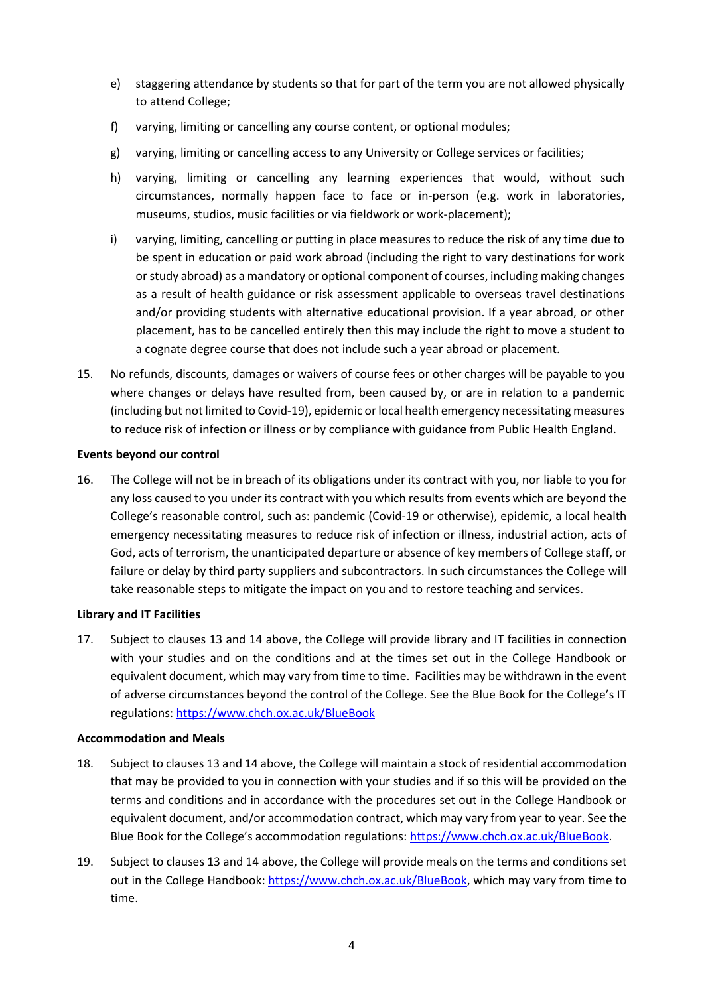- e) staggering attendance by students so that for part of the term you are not allowed physically to attend College;
- f) varying, limiting or cancelling any course content, or optional modules;
- g) varying, limiting or cancelling access to any University or College services or facilities;
- h) varying, limiting or cancelling any learning experiences that would, without such circumstances, normally happen face to face or in-person (e.g. work in laboratories, museums, studios, music facilities or via fieldwork or work-placement);
- i) varying, limiting, cancelling or putting in place measures to reduce the risk of any time due to be spent in education or paid work abroad (including the right to vary destinations for work or study abroad) as a mandatory or optional component of courses, including making changes as a result of health guidance or risk assessment applicable to overseas travel destinations and/or providing students with alternative educational provision. If a year abroad, or other placement, has to be cancelled entirely then this may include the right to move a student to a cognate degree course that does not include such a year abroad or placement.
- 15. No refunds, discounts, damages or waivers of course fees or other charges will be payable to you where changes or delays have resulted from, been caused by, or are in relation to a pandemic (including but not limited to Covid-19), epidemic or local health emergency necessitating measures to reduce risk of infection or illness or by compliance with guidance from Public Health England.

#### **Events beyond our control**

16. The College will not be in breach of its obligations under its contract with you, nor liable to you for any loss caused to you under its contract with you which results from events which are beyond the College's reasonable control, such as: pandemic (Covid-19 or otherwise), epidemic, a local health emergency necessitating measures to reduce risk of infection or illness, industrial action, acts of God, acts of terrorism, the unanticipated departure or absence of key members of College staff, or failure or delay by third party suppliers and subcontractors. In such circumstances the College will take reasonable steps to mitigate the impact on you and to restore teaching and services.

# **Library and IT Facilities**

17. Subject to clauses 13 and 14 above, the College will provide library and IT facilities in connection with your studies and on the conditions and at the times set out in the College Handbook or equivalent document, which may vary from time to time. Facilities may be withdrawn in the event of adverse circumstances beyond the control of the College. See the Blue Book for the College's IT regulations: https://www.chch.ox.ac.uk/BlueBook

#### **Accommodation and Meals**

- 18. Subject to clauses 13 and 14 above, the College will maintain a stock of residential accommodation that may be provided to you in connection with your studies and if so this will be provided on the terms and conditions and in accordance with the procedures set out in the College Handbook or equivalent document, and/or accommodation contract, which may vary from year to year. See the Blue Book for the College's accommodation regulations: https://www.chch.ox.ac.uk/BlueBook.
- 19. Subject to clauses 13 and 14 above, the College will provide meals on the terms and conditions set out in the College Handbook: https://www.chch.ox.ac.uk/BlueBook, which may vary from time to time.